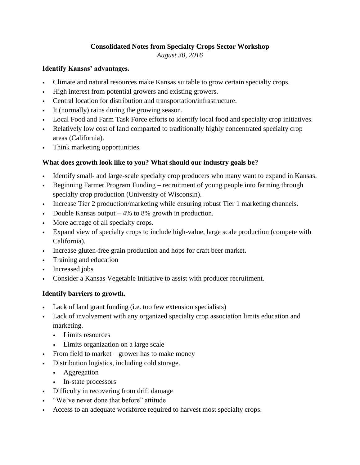# **Consolidated Notes from Specialty Crops Sector Workshop**

*August 30, 2016*

## **Identify Kansas' advantages.**

- Climate and natural resources make Kansas suitable to grow certain specialty crops.
- High interest from potential growers and existing growers.
- Central location for distribution and transportation/infrastructure.
- It (normally) rains during the growing season.
- Local Food and Farm Task Force efforts to identify local food and specialty crop initiatives.
- Relatively low cost of land comparted to traditionally highly concentrated specialty crop areas (California).
- Think marketing opportunities.

## **What does growth look like to you? What should our industry goals be?**

- Identify small- and large-scale specialty crop producers who many want to expand in Kansas.
- Beginning Farmer Program Funding recruitment of young people into farming through specialty crop production (University of Wisconsin).
- Increase Tier 2 production/marketing while ensuring robust Tier 1 marketing channels.
- Double Kansas output  $-4\%$  to 8% growth in production.
- More acreage of all specialty crops.
- Expand view of specialty crops to include high-value, large scale production (compete with California).
- Increase gluten-free grain production and hops for craft beer market.
- Training and education
- Increased jobs
- Consider a Kansas Vegetable Initiative to assist with producer recruitment.

## **Identify barriers to growth.**

- Lack of land grant funding (i.e. too few extension specialists)
- Lack of involvement with any organized specialty crop association limits education and marketing.
	- Limits resources
	- Limits organization on a large scale
- From field to market grower has to make money
- Distribution logistics, including cold storage.
	- Aggregation
	- In-state processors
- Difficulty in recovering from drift damage
- "We've never done that before" attitude
- Access to an adequate workforce required to harvest most specialty crops.